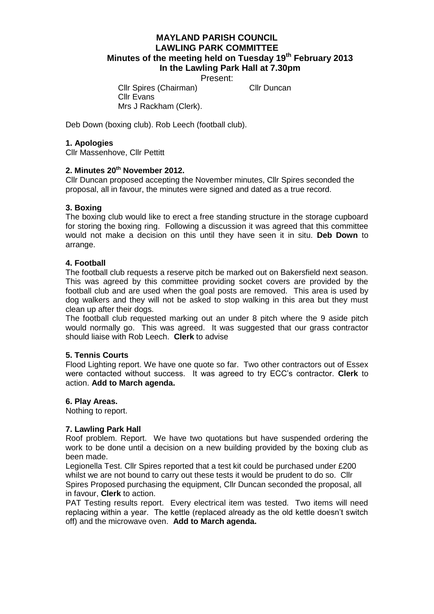# **MAYLAND PARISH COUNCIL LAWLING PARK COMMITTEE Minutes of the meeting held on Tuesday 19th February 2013 In the Lawling Park Hall at 7.30pm**

Present:

Cllr Spires (Chairman) Cllr Duncan

Cllr Evans Mrs J Rackham (Clerk).

Deb Down (boxing club). Rob Leech (football club).

### **1. Apologies**

Cllr Massenhove, Cllr Pettitt

#### **2. Minutes 20th November 2012.**

Cllr Duncan proposed accepting the November minutes, Cllr Spires seconded the proposal, all in favour, the minutes were signed and dated as a true record.

#### **3. Boxing**

The boxing club would like to erect a free standing structure in the storage cupboard for storing the boxing ring. Following a discussion it was agreed that this committee would not make a decision on this until they have seen it in situ. **Deb Down** to arrange.

#### **4. Football**

The football club requests a reserve pitch be marked out on Bakersfield next season. This was agreed by this committee providing socket covers are provided by the football club and are used when the goal posts are removed. This area is used by dog walkers and they will not be asked to stop walking in this area but they must clean up after their dogs.

The football club requested marking out an under 8 pitch where the 9 aside pitch would normally go. This was agreed. It was suggested that our grass contractor should liaise with Rob Leech. **Clerk** to advise

#### **5. Tennis Courts**

Flood Lighting report. We have one quote so far. Two other contractors out of Essex were contacted without success. It was agreed to try ECC's contractor. **Clerk** to action. **Add to March agenda.**

#### **6. Play Areas.**

Nothing to report.

## **7. Lawling Park Hall**

Roof problem. Report. We have two quotations but have suspended ordering the work to be done until a decision on a new building provided by the boxing club as been made.

Legionella Test. Cllr Spires reported that a test kit could be purchased under £200 whilst we are not bound to carry out these tests it would be prudent to do so. Cllr Spires Proposed purchasing the equipment, Cllr Duncan seconded the proposal, all in favour, **Clerk** to action.

PAT Testing results report. Every electrical item was tested. Two items will need replacing within a year. The kettle (replaced already as the old kettle doesn't switch off) and the microwave oven. **Add to March agenda.**